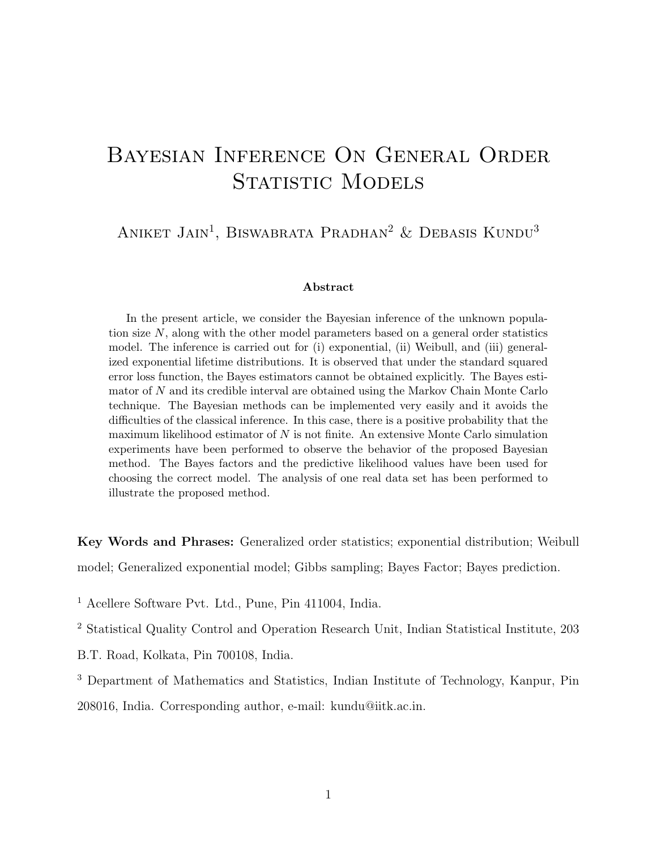# Bayesian Inference On General Order STATISTIC MODELS

ANIKET JAIN<sup>1</sup>, BISWABRATA PRADHAN<sup>2</sup> & DEBASIS KUNDU<sup>3</sup>

#### Abstract

In the present article, we consider the Bayesian inference of the unknown population size N, along with the other model parameters based on a general order statistics model. The inference is carried out for (i) exponential, (ii) Weibull, and (iii) generalized exponential lifetime distributions. It is observed that under the standard squared error loss function, the Bayes estimators cannot be obtained explicitly. The Bayes estimator of N and its credible interval are obtained using the Markov Chain Monte Carlo technique. The Bayesian methods can be implemented very easily and it avoids the difficulties of the classical inference. In this case, there is a positive probability that the maximum likelihood estimator of  $N$  is not finite. An extensive Monte Carlo simulation experiments have been performed to observe the behavior of the proposed Bayesian method. The Bayes factors and the predictive likelihood values have been used for choosing the correct model. The analysis of one real data set has been performed to illustrate the proposed method.

Key Words and Phrases: Generalized order statistics; exponential distribution; Weibull model; Generalized exponential model; Gibbs sampling; Bayes Factor; Bayes prediction.

<sup>1</sup> Acellere Software Pvt. Ltd., Pune, Pin 411004, India.

<sup>2</sup> Statistical Quality Control and Operation Research Unit, Indian Statistical Institute, 203

B.T. Road, Kolkata, Pin 700108, India.

<sup>3</sup> Department of Mathematics and Statistics, Indian Institute of Technology, Kanpur, Pin

208016, India. Corresponding author, e-mail: kundu@iitk.ac.in.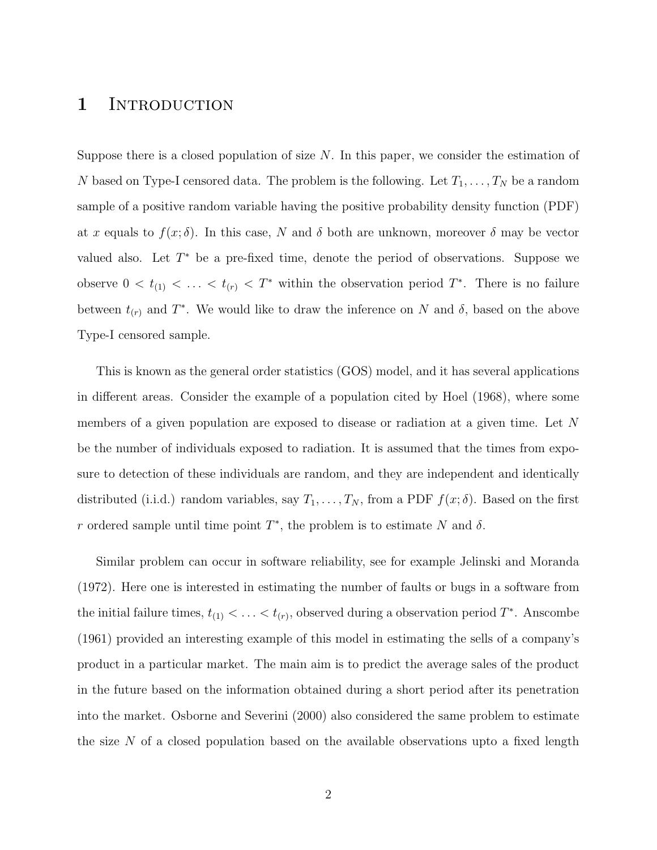### 1 INTRODUCTION

Suppose there is a closed population of size  $N$ . In this paper, we consider the estimation of N based on Type-I censored data. The problem is the following. Let  $T_1, \ldots, T_N$  be a random sample of a positive random variable having the positive probability density function (PDF) at x equals to  $f(x; \delta)$ . In this case, N and  $\delta$  both are unknown, moreover  $\delta$  may be vector valued also. Let  $T^*$  be a pre-fixed time, denote the period of observations. Suppose we observe  $0 < t_{(1)} < \ldots < t_{(r)} < T^*$  within the observation period  $T^*$ . There is no failure between  $t_{(r)}$  and  $T^*$ . We would like to draw the inference on N and  $\delta$ , based on the above Type-I censored sample.

This is known as the general order statistics (GOS) model, and it has several applications in different areas. Consider the example of a population cited by Hoel (1968), where some members of a given population are exposed to disease or radiation at a given time. Let N be the number of individuals exposed to radiation. It is assumed that the times from exposure to detection of these individuals are random, and they are independent and identically distributed (i.i.d.) random variables, say  $T_1, \ldots, T_N$ , from a PDF  $f(x; \delta)$ . Based on the first r ordered sample until time point  $T^*$ , the problem is to estimate N and  $\delta$ .

Similar problem can occur in software reliability, see for example Jelinski and Moranda (1972). Here one is interested in estimating the number of faults or bugs in a software from the initial failure times,  $t_{(1)} < \ldots < t_{(r)}$ , observed during a observation period  $T^*$ . Anscombe (1961) provided an interesting example of this model in estimating the sells of a company's product in a particular market. The main aim is to predict the average sales of the product in the future based on the information obtained during a short period after its penetration into the market. Osborne and Severini (2000) also considered the same problem to estimate the size  $N$  of a closed population based on the available observations upto a fixed length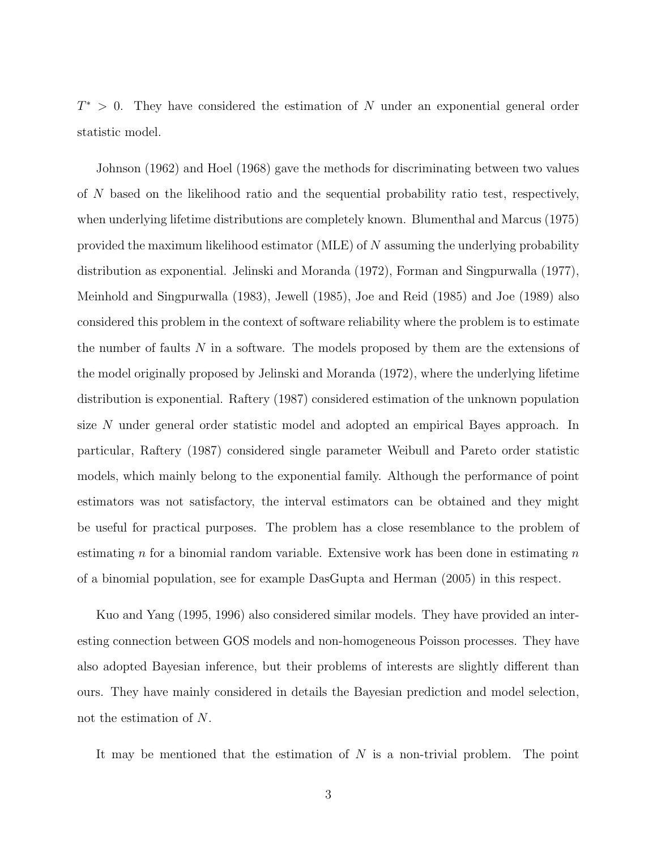$T^* > 0$ . They have considered the estimation of N under an exponential general order statistic model.

Johnson (1962) and Hoel (1968) gave the methods for discriminating between two values of N based on the likelihood ratio and the sequential probability ratio test, respectively, when underlying lifetime distributions are completely known. Blumenthal and Marcus (1975) provided the maximum likelihood estimator (MLE) of  $N$  assuming the underlying probability distribution as exponential. Jelinski and Moranda (1972), Forman and Singpurwalla (1977), Meinhold and Singpurwalla (1983), Jewell (1985), Joe and Reid (1985) and Joe (1989) also considered this problem in the context of software reliability where the problem is to estimate the number of faults N in a software. The models proposed by them are the extensions of the model originally proposed by Jelinski and Moranda (1972), where the underlying lifetime distribution is exponential. Raftery (1987) considered estimation of the unknown population size N under general order statistic model and adopted an empirical Bayes approach. In particular, Raftery (1987) considered single parameter Weibull and Pareto order statistic models, which mainly belong to the exponential family. Although the performance of point estimators was not satisfactory, the interval estimators can be obtained and they might be useful for practical purposes. The problem has a close resemblance to the problem of estimating n for a binomial random variable. Extensive work has been done in estimating  $n$ of a binomial population, see for example DasGupta and Herman (2005) in this respect.

Kuo and Yang (1995, 1996) also considered similar models. They have provided an interesting connection between GOS models and non-homogeneous Poisson processes. They have also adopted Bayesian inference, but their problems of interests are slightly different than ours. They have mainly considered in details the Bayesian prediction and model selection, not the estimation of N.

It may be mentioned that the estimation of  $N$  is a non-trivial problem. The point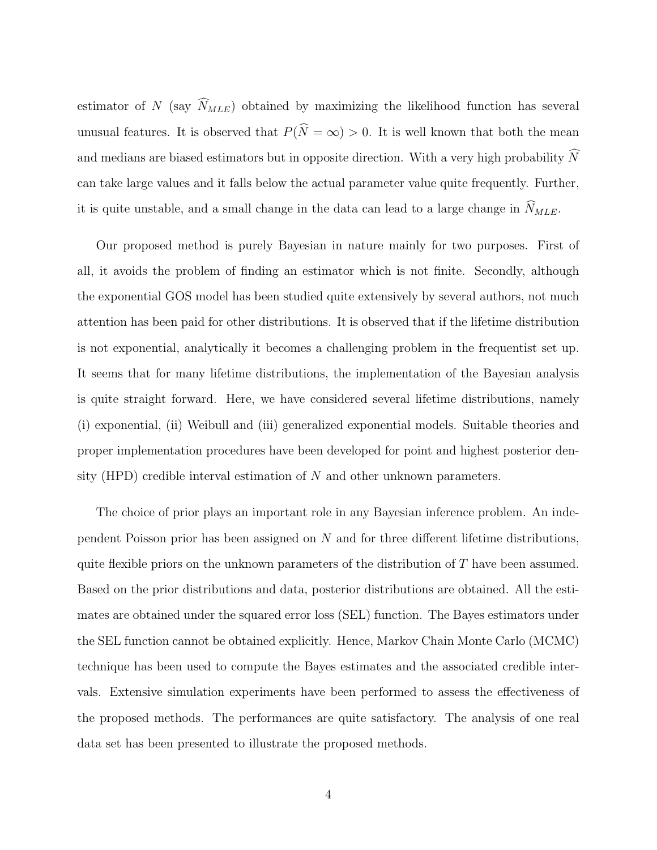estimator of N (say  $\widehat{N}_{MLE}$ ) obtained by maximizing the likelihood function has several unusual features. It is observed that  $P(\widehat{N} = \infty) > 0$ . It is well known that both the mean and medians are biased estimators but in opposite direction. With a very high probability  $N$ can take large values and it falls below the actual parameter value quite frequently. Further, it is quite unstable, and a small change in the data can lead to a large change in  $\widehat{N}_{MLE}$ .

Our proposed method is purely Bayesian in nature mainly for two purposes. First of all, it avoids the problem of finding an estimator which is not finite. Secondly, although the exponential GOS model has been studied quite extensively by several authors, not much attention has been paid for other distributions. It is observed that if the lifetime distribution is not exponential, analytically it becomes a challenging problem in the frequentist set up. It seems that for many lifetime distributions, the implementation of the Bayesian analysis is quite straight forward. Here, we have considered several lifetime distributions, namely (i) exponential, (ii) Weibull and (iii) generalized exponential models. Suitable theories and proper implementation procedures have been developed for point and highest posterior density (HPD) credible interval estimation of  $N$  and other unknown parameters.

The choice of prior plays an important role in any Bayesian inference problem. An independent Poisson prior has been assigned on N and for three different lifetime distributions, quite flexible priors on the unknown parameters of the distribution of T have been assumed. Based on the prior distributions and data, posterior distributions are obtained. All the estimates are obtained under the squared error loss (SEL) function. The Bayes estimators under the SEL function cannot be obtained explicitly. Hence, Markov Chain Monte Carlo (MCMC) technique has been used to compute the Bayes estimates and the associated credible intervals. Extensive simulation experiments have been performed to assess the effectiveness of the proposed methods. The performances are quite satisfactory. The analysis of one real data set has been presented to illustrate the proposed methods.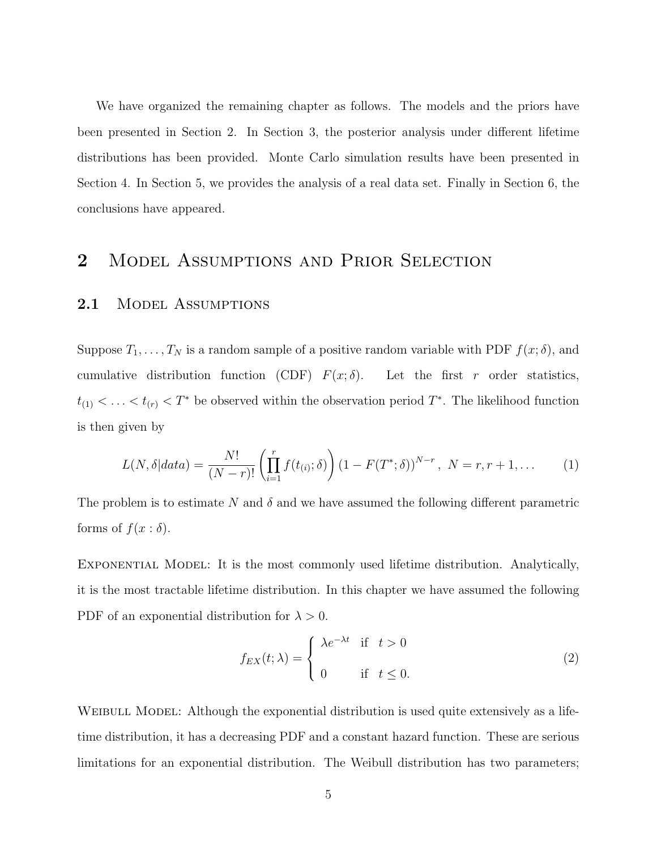We have organized the remaining chapter as follows. The models and the priors have been presented in Section 2. In Section 3, the posterior analysis under different lifetime distributions has been provided. Monte Carlo simulation results have been presented in Section 4. In Section 5, we provides the analysis of a real data set. Finally in Section 6, the conclusions have appeared.

## 2 MODEL ASSUMPTIONS AND PRIOR SELECTION

### 2.1 MODEL ASSUMPTIONS

Suppose  $T_1, \ldots, T_N$  is a random sample of a positive random variable with PDF  $f(x; \delta)$ , and cumulative distribution function (CDF)  $F(x; \delta)$ . Let the first r order statistics,  $t_{(1)} < \ldots < t_{(r)} < T^*$  be observed within the observation period  $T^*$ . The likelihood function is then given by

$$
L(N, \delta|data) = \frac{N!}{(N-r)!} \left( \prod_{i=1}^{r} f(t_{(i)}; \delta) \right) (1 - F(T^*; \delta))^{N-r}, N = r, r + 1, ... \tag{1}
$$

The problem is to estimate N and  $\delta$  and we have assumed the following different parametric forms of  $f(x : \delta)$ .

Exponential Model: It is the most commonly used lifetime distribution. Analytically, it is the most tractable lifetime distribution. In this chapter we have assumed the following PDF of an exponential distribution for  $\lambda > 0$ .

$$
f_{EX}(t; \lambda) = \begin{cases} \lambda e^{-\lambda t} & \text{if } t > 0 \\ 0 & \text{if } t \le 0. \end{cases}
$$
 (2)

WEIBULL MODEL: Although the exponential distribution is used quite extensively as a lifetime distribution, it has a decreasing PDF and a constant hazard function. These are serious limitations for an exponential distribution. The Weibull distribution has two parameters;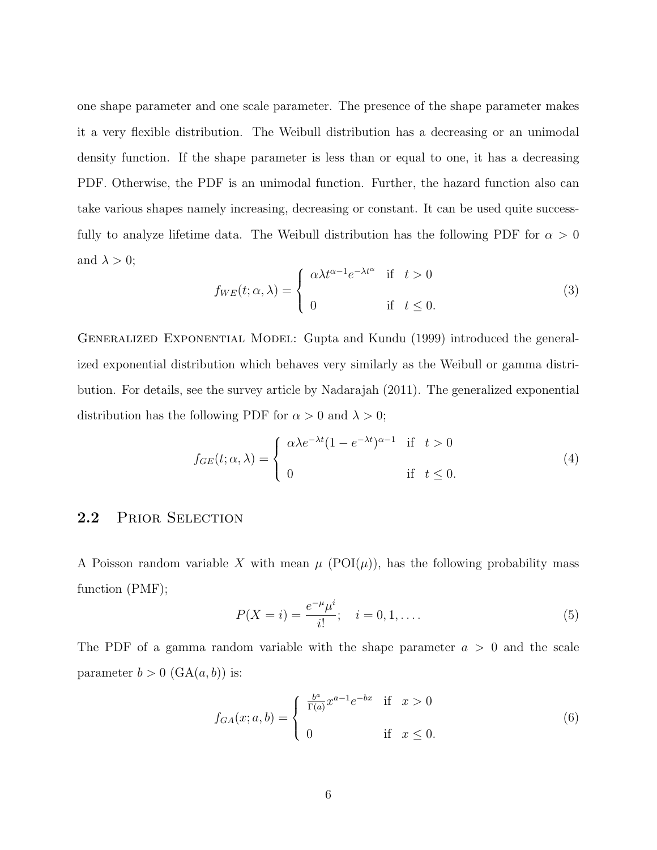one shape parameter and one scale parameter. The presence of the shape parameter makes it a very flexible distribution. The Weibull distribution has a decreasing or an unimodal density function. If the shape parameter is less than or equal to one, it has a decreasing PDF. Otherwise, the PDF is an unimodal function. Further, the hazard function also can take various shapes namely increasing, decreasing or constant. It can be used quite successfully to analyze lifetime data. The Weibull distribution has the following PDF for  $\alpha > 0$ and  $\lambda > 0$ ;

$$
f_{WE}(t; \alpha, \lambda) = \begin{cases} \alpha \lambda t^{\alpha - 1} e^{-\lambda t^{\alpha}} & \text{if } t > 0 \\ 0 & \text{if } t \le 0. \end{cases}
$$
 (3)

Generalized Exponential Model: Gupta and Kundu (1999) introduced the generalized exponential distribution which behaves very similarly as the Weibull or gamma distribution. For details, see the survey article by Nadarajah (2011). The generalized exponential distribution has the following PDF for  $\alpha > 0$  and  $\lambda > 0$ ;

$$
f_{GE}(t; \alpha, \lambda) = \begin{cases} \alpha \lambda e^{-\lambda t} (1 - e^{-\lambda t})^{\alpha - 1} & \text{if } t > 0 \\ 0 & \text{if } t \le 0. \end{cases}
$$
 (4)

### 2.2 PRIOR SELECTION

A Poisson random variable X with mean  $\mu$  (POI $(\mu)$ ), has the following probability mass function (PMF);

$$
P(X = i) = \frac{e^{-\mu}\mu^{i}}{i!}; \quad i = 0, 1, ....
$$
 (5)

The PDF of a gamma random variable with the shape parameter  $a > 0$  and the scale parameter  $b > 0$  (GA $(a, b)$ ) is:

$$
f_{GA}(x; a, b) = \begin{cases} \frac{b^a}{\Gamma(a)} x^{a-1} e^{-bx} & \text{if } x > 0\\ 0 & \text{if } x \le 0. \end{cases}
$$
 (6)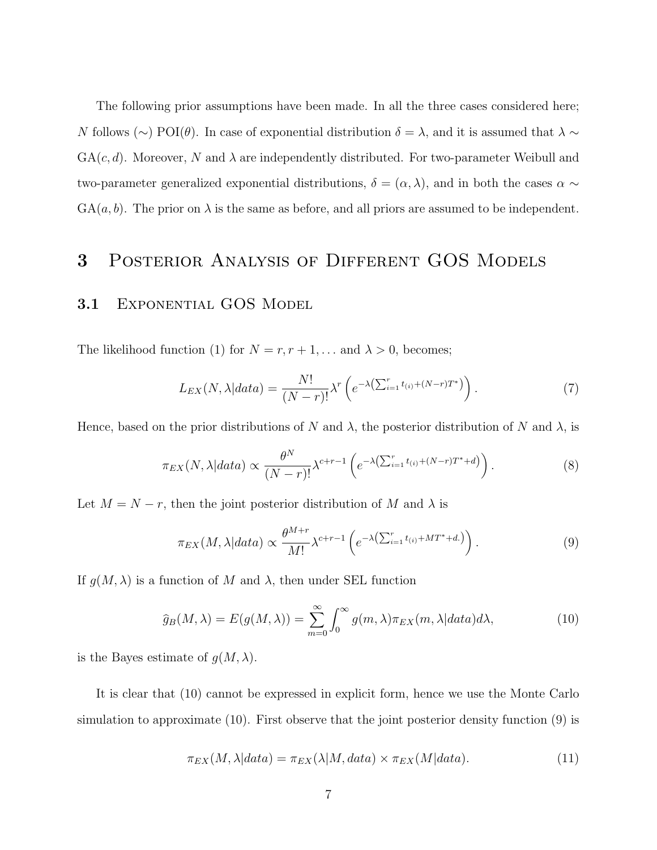The following prior assumptions have been made. In all the three cases considered here; N follows (∼) POI( $\theta$ ). In case of exponential distribution  $\delta = \lambda$ , and it is assumed that  $\lambda \sim$  $GA(c, d)$ . Moreover, N and  $\lambda$  are independently distributed. For two-parameter Weibull and two-parameter generalized exponential distributions,  $\delta = (\alpha, \lambda)$ , and in both the cases  $\alpha \sim$  $GA(a, b)$ . The prior on  $\lambda$  is the same as before, and all priors are assumed to be independent.

### 3 POSTERIOR ANALYSIS OF DIFFERENT GOS MODELS

### 3.1 EXPONENTIAL GOS MODEL

The likelihood function (1) for  $N = r, r + 1, \ldots$  and  $\lambda > 0$ , becomes;

$$
L_{EX}(N,\lambda|data) = \frac{N!}{(N-r)!} \lambda^r \left( e^{-\lambda \left(\sum_{i=1}^r t_{(i)} + (N-r)T^*\right)} \right).
$$
 (7)

Hence, based on the prior distributions of N and  $\lambda$ , the posterior distribution of N and  $\lambda$ , is

$$
\pi_{EX}(N,\lambda|data) \propto \frac{\theta^N}{(N-r)!} \lambda^{c+r-1} \left( e^{-\lambda \left(\sum_{i=1}^r t_{(i)} + (N-r)T^* + d\right)} \right). \tag{8}
$$

Let  $M = N - r$ , then the joint posterior distribution of M and  $\lambda$  is

$$
\pi_{EX}(M,\lambda|data) \propto \frac{\theta^{M+r}}{M!} \lambda^{c+r-1} \left( e^{-\lambda \left(\sum_{i=1}^r t_{(i)} + MT^* + d.\right)} \right). \tag{9}
$$

If  $g(M, \lambda)$  is a function of M and  $\lambda$ , then under SEL function

$$
\widehat{g}_B(M,\lambda) = E(g(M,\lambda)) = \sum_{m=0}^{\infty} \int_0^{\infty} g(m,\lambda)\pi_{EX}(m,\lambda|data)d\lambda,
$$
\n(10)

is the Bayes estimate of  $g(M, \lambda)$ .

It is clear that (10) cannot be expressed in explicit form, hence we use the Monte Carlo simulation to approximate (10). First observe that the joint posterior density function (9) is

$$
\pi_{EX}(M, \lambda|data) = \pi_{EX}(\lambda|M, data) \times \pi_{EX}(M|data). \tag{11}
$$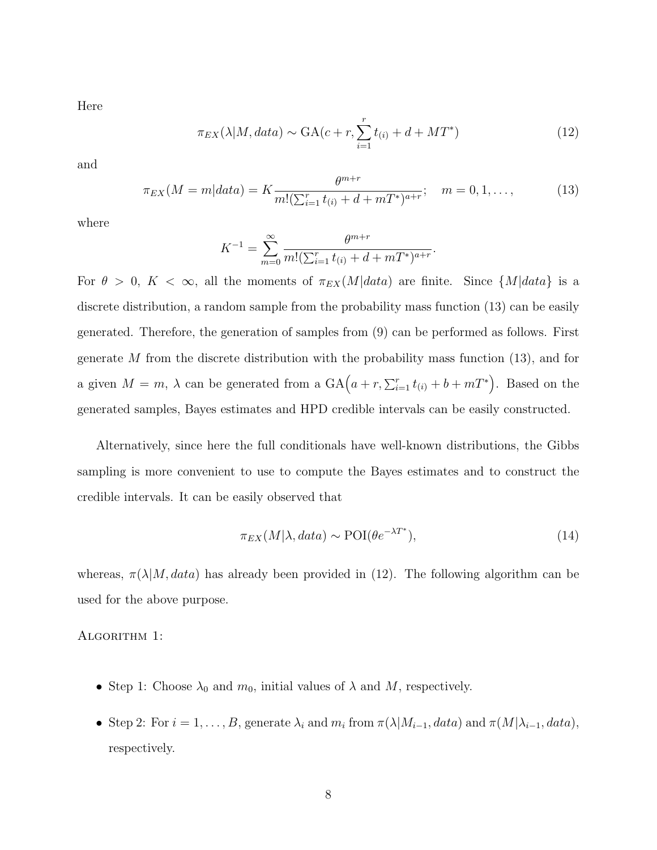Here

$$
\pi_{EX}(\lambda|M, data) \sim \text{GA}(c+r, \sum_{i=1}^r t_{(i)} + d + MT^*)
$$
\n(12)

and

$$
\pi_{EX}(M=m|data) = K \frac{\theta^{m+r}}{m!(\sum_{i=1}^{r} t_{(i)} + d + mT^{*})^{a+r}}; \quad m = 0, 1, ..., \tag{13}
$$

where

$$
K^{-1} = \sum_{m=0}^{\infty} \frac{\theta^{m+r}}{m! (\sum_{i=1}^{r} t_{(i)} + d + mT^{*})^{a+r}}.
$$

For  $\theta > 0$ ,  $K < \infty$ , all the moments of  $\pi_{EX}(M|data)$  are finite. Since  ${M|data}$  is a discrete distribution, a random sample from the probability mass function (13) can be easily generated. Therefore, the generation of samples from (9) can be performed as follows. First generate  $M$  from the discrete distribution with the probability mass function (13), and for a given  $M = m$ ,  $\lambda$  can be generated from a  $GA(a + r, \sum_{i=1}^{r} t_{(i)} + b + mT^*)$ . Based on the generated samples, Bayes estimates and HPD credible intervals can be easily constructed.

Alternatively, since here the full conditionals have well-known distributions, the Gibbs sampling is more convenient to use to compute the Bayes estimates and to construct the credible intervals. It can be easily observed that

$$
\pi_{EX}(M|\lambda, data) \sim \text{POI}(\theta e^{-\lambda T^*}),\tag{14}
$$

whereas,  $\pi(\lambda|M, data)$  has already been provided in (12). The following algorithm can be used for the above purpose.

#### ALGORITHM 1:

- Step 1: Choose  $\lambda_0$  and  $m_0$ , initial values of  $\lambda$  and  $M$ , respectively.
- Step 2: For  $i = 1, ..., B$ , generate  $\lambda_i$  and  $m_i$  from  $\pi(\lambda|M_{i-1}, data)$  and  $\pi(M|\lambda_{i-1}, data)$ , respectively.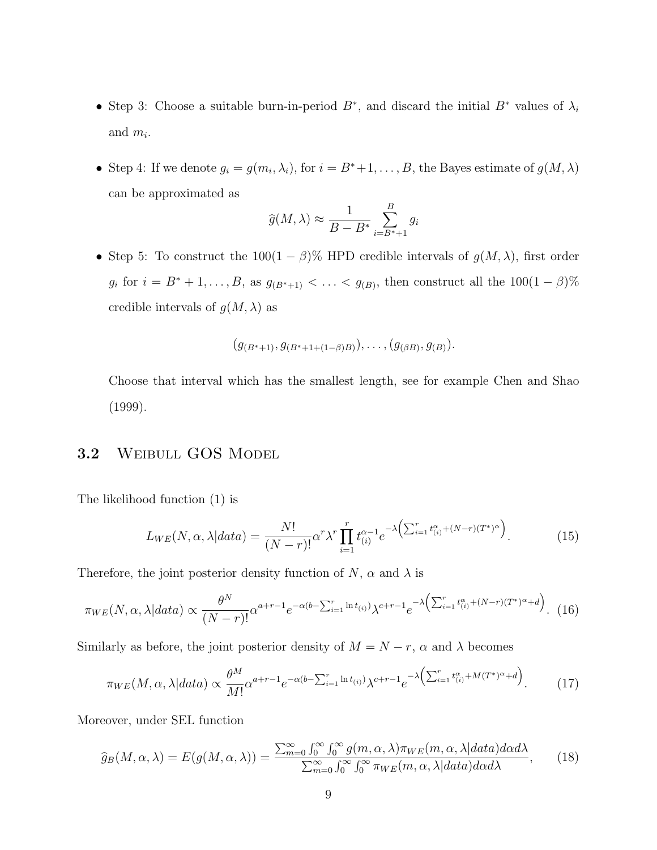- Step 3: Choose a suitable burn-in-period  $B^*$ , and discard the initial  $B^*$  values of  $\lambda_i$ and  $m_i$ .
- Step 4: If we denote  $g_i = g(m_i, \lambda_i)$ , for  $i = B^* + 1, \ldots, B$ , the Bayes estimate of  $g(M, \lambda)$ can be approximated as

$$
\widehat{g}(M,\lambda) \approx \frac{1}{B - B^*} \sum_{i=B^*+1}^{B} g_i
$$

• Step 5: To construct the  $100(1 - \beta)$ % HPD credible intervals of  $g(M, \lambda)$ , first order  $g_i$  for  $i = B^* + 1, ..., B$ , as  $g_{(B^*+1)} < ... < g_{(B)}$ , then construct all the  $100(1 - \beta)\%$ credible intervals of  $g(M, \lambda)$  as

$$
(g_{(B^*+1)}, g_{(B^*+1+(1-\beta)B)}), \ldots, (g_{(\beta B)}, g_{(B)}).
$$

Choose that interval which has the smallest length, see for example Chen and Shao (1999).

### 3.2 WEIBULL GOS MODEL

The likelihood function (1) is

$$
L_{WE}(N,\alpha,\lambda|data) = \frac{N!}{(N-r)!} \alpha^r \lambda^r \prod_{i=1}^r t_{(i)}^{\alpha-1} e^{-\lambda \left(\sum_{i=1}^r t_{(i)}^{\alpha} + (N-r)(T^*)^{\alpha}\right)}.
$$
 (15)

Therefore, the joint posterior density function of  $N$ ,  $\alpha$  and  $\lambda$  is

$$
\pi_{WE}(N,\alpha,\lambda|data) \propto \frac{\theta^N}{(N-r)!} \alpha^{a+r-1} e^{-\alpha(b-\sum_{i=1}^r \ln t_{(i)})} \lambda^{c+r-1} e^{-\lambda \left(\sum_{i=1}^r t_{(i)}^\alpha + (N-r)(T^*)^\alpha + d\right)}.
$$
 (16)

Similarly as before, the joint posterior density of  $M = N - r$ ,  $\alpha$  and  $\lambda$  becomes

$$
\pi_{WE}(M,\alpha,\lambda|data) \propto \frac{\theta^M}{M!} \alpha^{a+r-1} e^{-\alpha(b-\sum_{i=1}^r \ln t_{(i)})} \lambda^{c+r-1} e^{-\lambda \left(\sum_{i=1}^r t_{(i)}^\alpha + M(T^*)^\alpha + d\right)}.
$$
 (17)

Moreover, under SEL function

$$
\widehat{g}_B(M,\alpha,\lambda) = E(g(M,\alpha,\lambda)) = \frac{\sum_{m=0}^{\infty} \int_0^{\infty} \int_0^{\infty} g(m,\alpha,\lambda) \pi_{WE}(m,\alpha,\lambda) d\alpha d\lambda}{\sum_{m=0}^{\infty} \int_0^{\infty} \int_0^{\infty} \pi_{WE}(m,\alpha,\lambda) d\alpha d\lambda}, \quad (18)
$$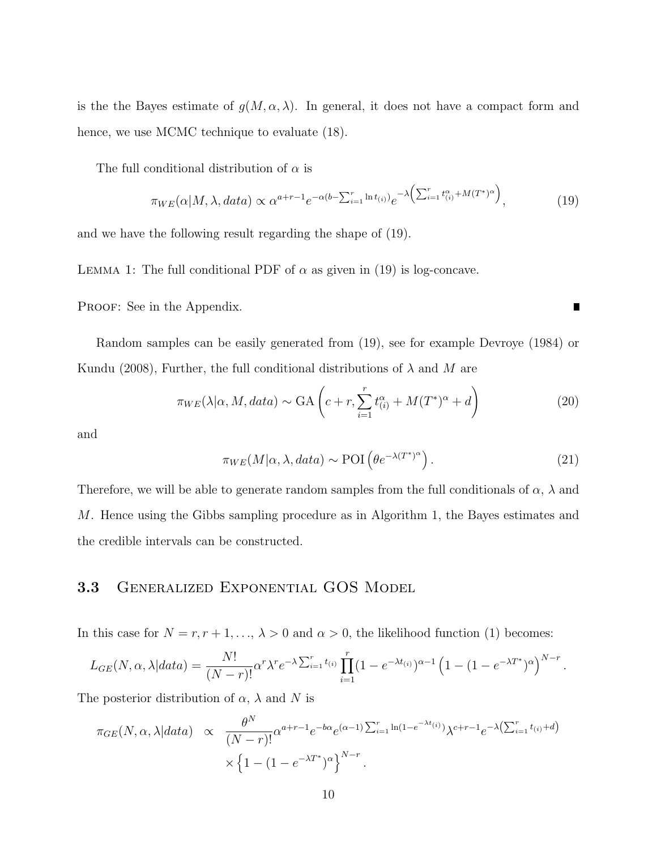is the the Bayes estimate of  $g(M, \alpha, \lambda)$ . In general, it does not have a compact form and hence, we use MCMC technique to evaluate  $(18)$ .

The full conditional distribution of  $\alpha$  is

$$
\pi_{WE}(\alpha|M,\lambda,data) \propto \alpha^{a+r-1} e^{-\alpha(b-\sum_{i=1}^{r} \ln t_{(i)})} e^{-\lambda \left(\sum_{i=1}^{r} t_{(i)}^{\alpha} + M(T^*)^{\alpha}\right)},
$$
\n(19)

and we have the following result regarding the shape of (19).

LEMMA 1: The full conditional PDF of  $\alpha$  as given in (19) is log-concave.

PROOF: See in the Appendix.

Random samples can be easily generated from (19), see for example Devroye (1984) or Kundu (2008), Further, the full conditional distributions of  $\lambda$  and M are

$$
\pi_{WE}(\lambda|\alpha, M, data) \sim \text{GA}\left(c + r, \sum_{i=1}^{r} t_{(i)}^{\alpha} + M(T^*)^{\alpha} + d\right)
$$
\n(20)

and

$$
\pi_{WE}(M|\alpha,\lambda,data) \sim \text{POI}\left(\theta e^{-\lambda(T^*)^{\alpha}}\right). \tag{21}
$$

П

Therefore, we will be able to generate random samples from the full conditionals of  $\alpha$ ,  $\lambda$  and M. Hence using the Gibbs sampling procedure as in Algorithm 1, the Bayes estimates and the credible intervals can be constructed.

#### 3.3 Generalized Exponential GOS Model

In this case for  $N = r, r + 1, ..., \lambda > 0$  and  $\alpha > 0$ , the likelihood function (1) becomes:

$$
L_{GE}(N, \alpha, \lambda|data) = \frac{N!}{(N-r)!} \alpha^r \lambda^r e^{-\lambda \sum_{i=1}^r t_{(i)}} \prod_{i=1}^r (1 - e^{-\lambda t_{(i)}})^{\alpha - 1} \left(1 - (1 - e^{-\lambda T^*})^{\alpha}\right)^{N-r}.
$$

The posterior distribution of  $\alpha$ ,  $\lambda$  and N is

$$
\pi_{GE}(N,\alpha,\lambda|data) \propto \frac{\theta^N}{(N-r)!} \alpha^{a+r-1} e^{-b\alpha} e^{(\alpha-1)\sum_{i=1}^r \ln(1-e^{-\lambda t_i})} \lambda^{c+r-1} e^{-\lambda \left(\sum_{i=1}^r t_{(i)} + d\right)}
$$

$$
\times \left\{1 - (1 - e^{-\lambda T^*})^{\alpha}\right\}^{N-r}.
$$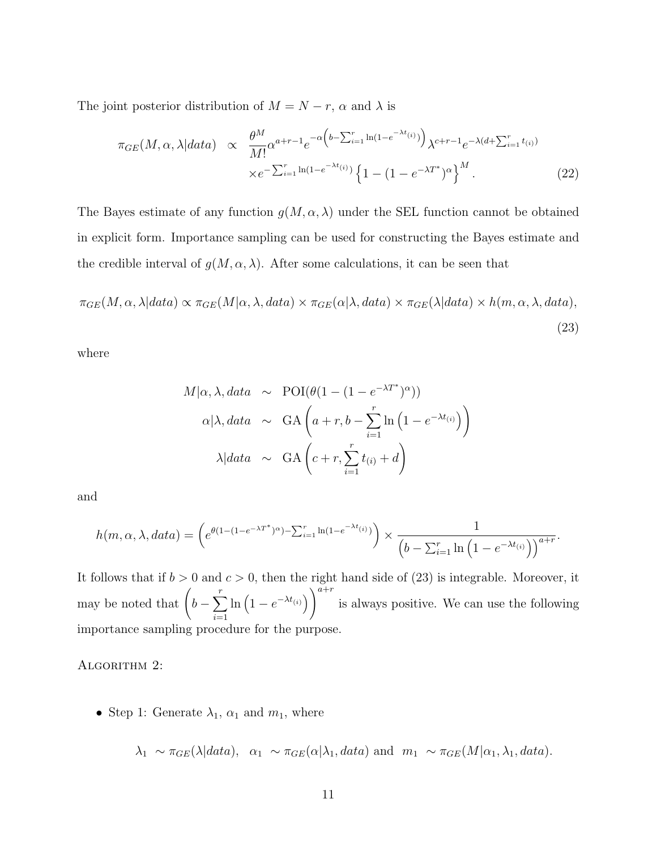The joint posterior distribution of  $M = N - r$ ,  $\alpha$  and  $\lambda$  is

$$
\pi_{GE}(M,\alpha,\lambda|data) \propto \frac{\theta^M}{M!} \alpha^{a+r-1} e^{-\alpha \left(b - \sum_{i=1}^r \ln(1 - e^{-\lambda t_i})\right)} \lambda^{c+r-1} e^{-\lambda(d + \sum_{i=1}^r t_{(i)})}
$$

$$
\times e^{-\sum_{i=1}^r \ln(1 - e^{-\lambda t_{(i)}})} \left\{1 - (1 - e^{-\lambda T^*})^{\alpha}\right\}^M. \tag{22}
$$

The Bayes estimate of any function  $g(M, \alpha, \lambda)$  under the SEL function cannot be obtained in explicit form. Importance sampling can be used for constructing the Bayes estimate and the credible interval of  $g(M, \alpha, \lambda)$ . After some calculations, it can be seen that

$$
\pi_{GE}(M, \alpha, \lambda | data) \propto \pi_{GE}(M|\alpha, \lambda, data) \times \pi_{GE}(\alpha | \lambda, data) \times \pi_{GE}(\lambda | data) \times h(m, \alpha, \lambda, data),
$$
\n(23)

where

$$
M|\alpha, \lambda, data \sim \text{POI}(\theta(1 - (1 - e^{-\lambda T^*})^{\alpha}))
$$

$$
\alpha|\lambda, data \sim \text{GA}\left(a + r, b - \sum_{i=1}^r \ln(1 - e^{-\lambda t_{(i)}})\right)
$$

$$
\lambda|data \sim \text{GA}\left(c + r, \sum_{i=1}^r t_{(i)} + d\right)
$$

and

$$
h(m, \alpha, \lambda, data) = \left(e^{\theta(1 - (1 - e^{-\lambda T^*)\alpha}) - \sum_{i=1}^r \ln(1 - e^{-\lambda t_{(i)}})}\right) \times \frac{1}{\left(b - \sum_{i=1}^r \ln\left(1 - e^{-\lambda t_{(i)}}\right)\right)^{a+r}}.
$$

It follows that if  $b > 0$  and  $c > 0$ , then the right hand side of (23) is integrable. Moreover, it may be noted that  $\left(b-\sum_{i=1}^{r} a_i\right)$  $i=1$  $\ln\left(1-e^{-\lambda t_{(i)}}\right)\right)^{a+r}$ is always positive. We can use the following importance sampling procedure for the purpose.

ALGORITHM 2:

• Step 1: Generate  $\lambda_1$ ,  $\alpha_1$  and  $m_1$ , where

$$
\lambda_1 \sim \pi_{GE}(\lambda|data), \alpha_1 \sim \pi_{GE}(\alpha|\lambda_1, data)
$$
 and  $m_1 \sim \pi_{GE}(M|\alpha_1, \lambda_1, data)$ .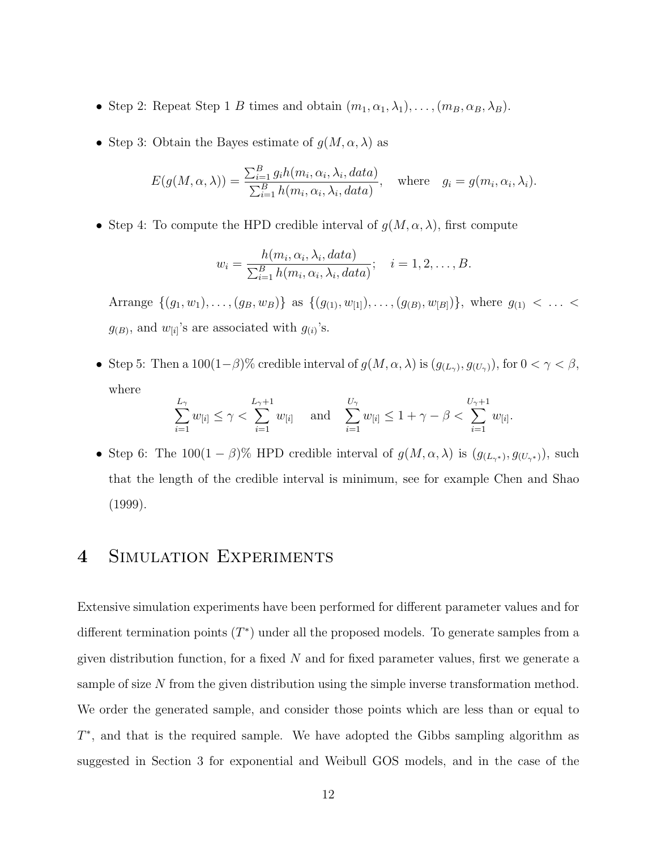- Step 2: Repeat Step 1 B times and obtain  $(m_1, \alpha_1, \lambda_1), \ldots, (m_B, \alpha_B, \lambda_B)$ .
- Step 3: Obtain the Bayes estimate of  $g(M, \alpha, \lambda)$  as

$$
E(g(M, \alpha, \lambda)) = \frac{\sum_{i=1}^{B} g_i h(m_i, \alpha_i, \lambda_i, data)}{\sum_{i=1}^{B} h(m_i, \alpha_i, \lambda_i, data)}, \quad \text{where} \quad g_i = g(m_i, \alpha_i, \lambda_i).
$$

• Step 4: To compute the HPD credible interval of  $g(M, \alpha, \lambda)$ , first compute

$$
w_i = \frac{h(m_i, \alpha_i, \lambda_i, data)}{\sum_{i=1}^B h(m_i, \alpha_i, \lambda_i, data)}; \quad i = 1, 2, \dots, B.
$$

Arrange  $\{(g_1, w_1), \ldots, (g_B, w_B)\}\$ as  $\{(g_{(1)}, w_{[1]}), \ldots, (g_{(B)}, w_{[B]})\}\$ , where  $g_{(1)} < \ldots <$  $g_{(B)}$ , and  $w_{[i]}$ 's are associated with  $g_{(i)}$ 's.

• Step 5: Then a 100(1- $\beta$ )% credible interval of  $g(M, \alpha, \lambda)$  is  $(g_{(L_{\gamma})}, g_{(U_{\gamma})})$ , for  $0 < \gamma < \beta$ , where

$$
\sum_{i=1}^{L_{\gamma}} w_{[i]} \leq \gamma < \sum_{i=1}^{L_{\gamma}+1} w_{[i]} \quad \text{ and } \quad \sum_{i=1}^{U_{\gamma}} w_{[i]} \leq 1 + \gamma - \beta < \sum_{i=1}^{U_{\gamma}+1} w_{[i]}.
$$

• Step 6: The 100(1 –  $\beta$ )% HPD credible interval of  $g(M, \alpha, \lambda)$  is  $(g_{(L_{\gamma^*})}, g_{(U_{\gamma^*})})$ , such that the length of the credible interval is minimum, see for example Chen and Shao (1999).

### 4 SIMULATION EXPERIMENTS

Extensive simulation experiments have been performed for different parameter values and for different termination points  $(T^*)$  under all the proposed models. To generate samples from a given distribution function, for a fixed  $N$  and for fixed parameter values, first we generate a sample of size N from the given distribution using the simple inverse transformation method. We order the generated sample, and consider those points which are less than or equal to T ∗ , and that is the required sample. We have adopted the Gibbs sampling algorithm as suggested in Section 3 for exponential and Weibull GOS models, and in the case of the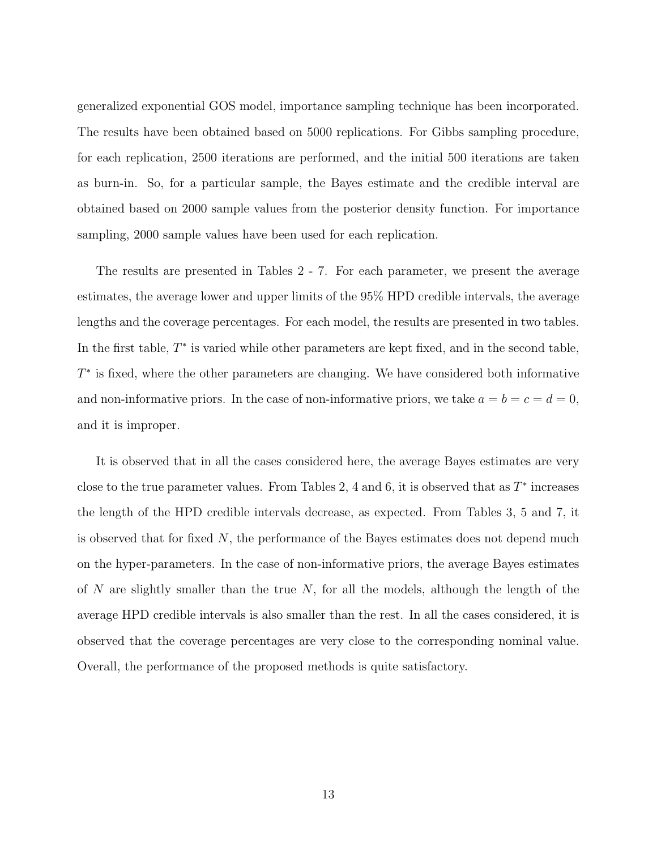generalized exponential GOS model, importance sampling technique has been incorporated. The results have been obtained based on 5000 replications. For Gibbs sampling procedure, for each replication, 2500 iterations are performed, and the initial 500 iterations are taken as burn-in. So, for a particular sample, the Bayes estimate and the credible interval are obtained based on 2000 sample values from the posterior density function. For importance sampling, 2000 sample values have been used for each replication.

The results are presented in Tables 2 - 7. For each parameter, we present the average estimates, the average lower and upper limits of the 95% HPD credible intervals, the average lengths and the coverage percentages. For each model, the results are presented in two tables. In the first table,  $T^*$  is varied while other parameters are kept fixed, and in the second table, T ∗ is fixed, where the other parameters are changing. We have considered both informative and non-informative priors. In the case of non-informative priors, we take  $a = b = c = d = 0$ , and it is improper.

It is observed that in all the cases considered here, the average Bayes estimates are very close to the true parameter values. From Tables 2, 4 and 6, it is observed that as  $T^*$  increases the length of the HPD credible intervals decrease, as expected. From Tables 3, 5 and 7, it is observed that for fixed  $N$ , the performance of the Bayes estimates does not depend much on the hyper-parameters. In the case of non-informative priors, the average Bayes estimates of  $N$  are slightly smaller than the true  $N$ , for all the models, although the length of the average HPD credible intervals is also smaller than the rest. In all the cases considered, it is observed that the coverage percentages are very close to the corresponding nominal value. Overall, the performance of the proposed methods is quite satisfactory.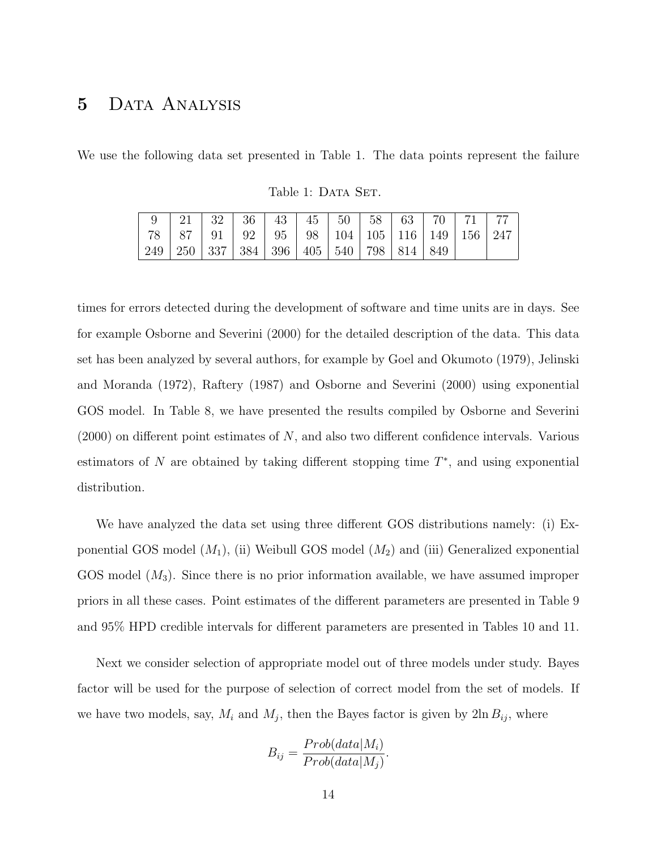### 5 Data Analysis

We use the following data set presented in Table 1. The data points represent the failure

|  | 78   87   91   92   95   98   104   105   116   149   156   247 |  |  |  |  |  |
|--|-----------------------------------------------------------------|--|--|--|--|--|
|  | 249   250   337   384   396   405   540   798   814   849       |  |  |  |  |  |

Table 1: DATA SET.

times for errors detected during the development of software and time units are in days. See for example Osborne and Severini (2000) for the detailed description of the data. This data set has been analyzed by several authors, for example by Goel and Okumoto (1979), Jelinski and Moranda (1972), Raftery (1987) and Osborne and Severini (2000) using exponential GOS model. In Table 8, we have presented the results compiled by Osborne and Severini  $(2000)$  on different point estimates of N, and also two different confidence intervals. Various estimators of  $N$  are obtained by taking different stopping time  $T^*$ , and using exponential distribution.

We have analyzed the data set using three different GOS distributions namely: (i) Exponential GOS model  $(M_1)$ , (ii) Weibull GOS model  $(M_2)$  and (iii) Generalized exponential GOS model  $(M_3)$ . Since there is no prior information available, we have assumed improper priors in all these cases. Point estimates of the different parameters are presented in Table 9 and 95% HPD credible intervals for different parameters are presented in Tables 10 and 11.

Next we consider selection of appropriate model out of three models under study. Bayes factor will be used for the purpose of selection of correct model from the set of models. If we have two models, say,  $M_i$  and  $M_j$ , then the Bayes factor is given by  $2\ln B_{ij}$ , where

$$
B_{ij} = \frac{Prob(data|M_i)}{Prob(data|M_j)}.
$$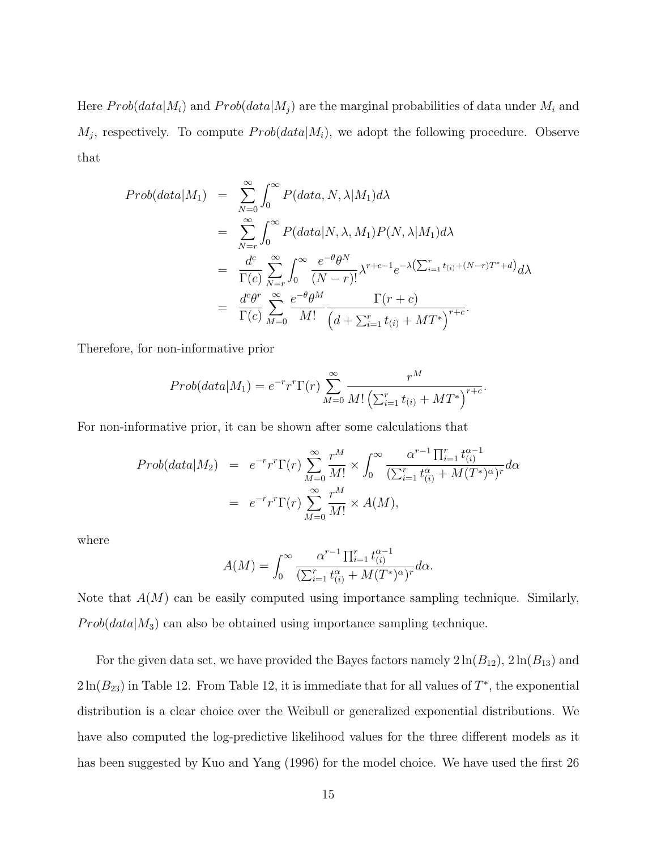Here  $Prob(data|M_i)$  and  $Prob(data|M_j)$  are the marginal probabilities of data under  $M_i$  and  $M_j$ , respectively. To compute  $Prob(data|M_i)$ , we adopt the following procedure. Observe that

$$
Prob(data|M_1) = \sum_{N=0}^{\infty} \int_0^{\infty} P(data, N, \lambda|M_1) d\lambda
$$
  
= 
$$
\sum_{N=r}^{\infty} \int_0^{\infty} P(data|N, \lambda, M_1) P(N, \lambda|M_1) d\lambda
$$
  
= 
$$
\frac{d^c}{\Gamma(c)} \sum_{N=r}^{\infty} \int_0^{\infty} \frac{e^{-\theta} \theta^N}{(N-r)!} \lambda^{r+c-1} e^{-\lambda (\sum_{i=1}^r t_{(i)} + (N-r)T^* + d)} d\lambda
$$
  
= 
$$
\frac{d^c \theta^r}{\Gamma(c)} \sum_{M=0}^{\infty} \frac{e^{-\theta} \theta^M}{M!} \frac{\Gamma(r+c)}{(d + \sum_{i=1}^r t_{(i)} + MT^*)}^{r+c}.
$$

Therefore, for non-informative prior

$$
Prob(data|M_1) = e^{-r} r^{r} \Gamma(r) \sum_{M=0}^{\infty} \frac{r^{M}}{M! \left(\sum_{i=1}^{r} t_{(i)} + MT^{*}\right)^{r+c}}.
$$

For non-informative prior, it can be shown after some calculations that

$$
Prob(data|M_2) = e^{-r}r^r \Gamma(r) \sum_{M=0}^{\infty} \frac{r^M}{M!} \times \int_0^{\infty} \frac{\alpha^{r-1} \prod_{i=1}^r t_{(i)}^{\alpha-1}}{(\sum_{i=1}^r t_{(i)}^{\alpha} + M(T^*)^{\alpha})^r} d\alpha
$$

$$
= e^{-r}r^r \Gamma(r) \sum_{M=0}^{\infty} \frac{r^M}{M!} \times A(M),
$$

where

$$
A(M) = \int_0^\infty \frac{\alpha^{r-1} \prod_{i=1}^r t_{(i)}^{\alpha-1}}{(\sum_{i=1}^r t_{(i)}^\alpha + M(T^*)^\alpha)^r} d\alpha.
$$

Note that  $A(M)$  can be easily computed using importance sampling technique. Similarly,  $Prob(data|M_3)$  can also be obtained using importance sampling technique.

For the given data set, we have provided the Bayes factors namely  $2 \ln(B_{12})$ ,  $2 \ln(B_{13})$  and  $2\ln(B_{23})$  in Table 12. From Table 12, it is immediate that for all values of  $T^*$ , the exponential distribution is a clear choice over the Weibull or generalized exponential distributions. We have also computed the log-predictive likelihood values for the three different models as it has been suggested by Kuo and Yang (1996) for the model choice. We have used the first 26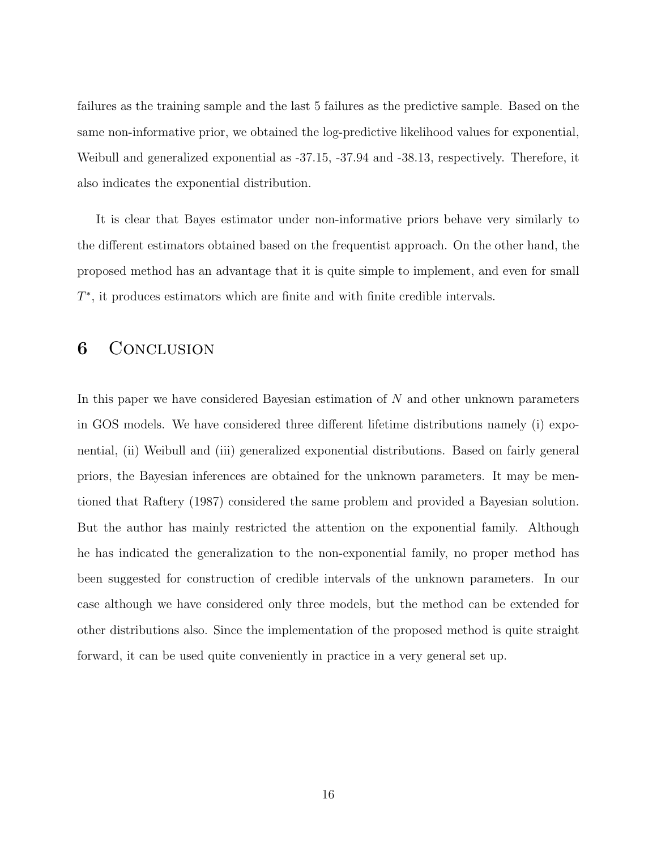failures as the training sample and the last 5 failures as the predictive sample. Based on the same non-informative prior, we obtained the log-predictive likelihood values for exponential, Weibull and generalized exponential as -37.15, -37.94 and -38.13, respectively. Therefore, it also indicates the exponential distribution.

It is clear that Bayes estimator under non-informative priors behave very similarly to the different estimators obtained based on the frequentist approach. On the other hand, the proposed method has an advantage that it is quite simple to implement, and even for small T ∗ , it produces estimators which are finite and with finite credible intervals.

### **6** CONCLUSION

In this paper we have considered Bayesian estimation of N and other unknown parameters in GOS models. We have considered three different lifetime distributions namely (i) exponential, (ii) Weibull and (iii) generalized exponential distributions. Based on fairly general priors, the Bayesian inferences are obtained for the unknown parameters. It may be mentioned that Raftery (1987) considered the same problem and provided a Bayesian solution. But the author has mainly restricted the attention on the exponential family. Although he has indicated the generalization to the non-exponential family, no proper method has been suggested for construction of credible intervals of the unknown parameters. In our case although we have considered only three models, but the method can be extended for other distributions also. Since the implementation of the proposed method is quite straight forward, it can be used quite conveniently in practice in a very general set up.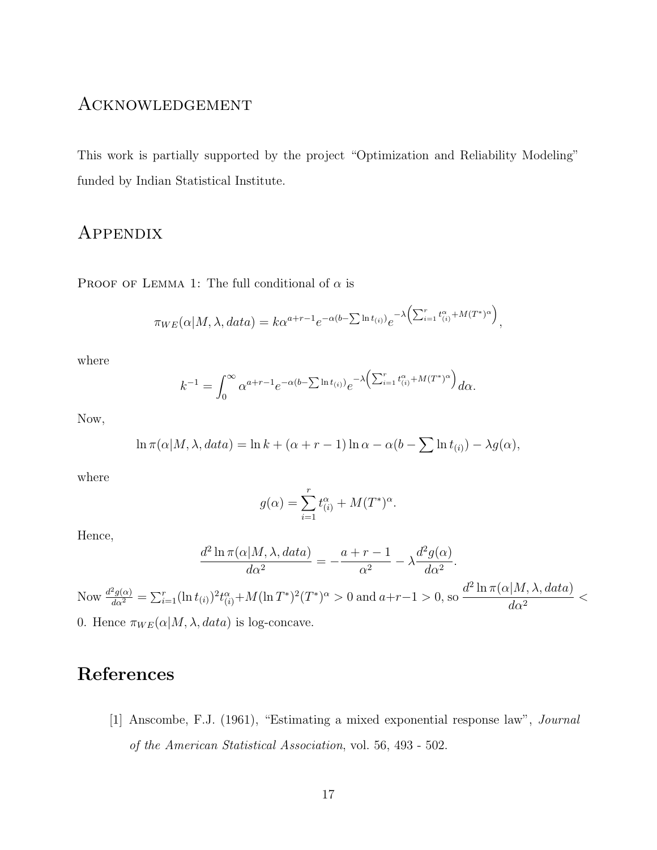### Acknowledgement

This work is partially supported by the project "Optimization and Reliability Modeling" funded by Indian Statistical Institute.

## Appendix

PROOF OF LEMMA 1: The full conditional of  $\alpha$  is

$$
\pi_{WE}(\alpha|M,\lambda,data) = k\alpha^{a+r-1}e^{-\alpha(b-\sum \ln t_{(i)})}e^{-\lambda(\sum_{i=1}^{r}t_{(i)}^{\alpha}+M(T^*)^{\alpha})},
$$

where

$$
k^{-1} = \int_0^\infty \alpha^{a+r-1} e^{-\alpha(b-\sum \ln t_{(i)})} e^{-\lambda \left(\sum_{i=1}^r t_{(i)}^\alpha + M(T^*)^\alpha\right)} d\alpha.
$$

Now,

$$
\ln \pi(\alpha|M, \lambda, data) = \ln k + (\alpha + r - 1) \ln \alpha - \alpha(b - \sum \ln t_{(i)}) - \lambda g(\alpha),
$$

where

$$
g(\alpha) = \sum_{i=1}^r t_{(i)}^{\alpha} + M(T^*)^{\alpha}.
$$

Hence,

$$
\frac{d^2 \ln \pi(\alpha|M, \lambda, data)}{d\alpha^2} = -\frac{a+r-1}{\alpha^2} - \lambda \frac{d^2 g(\alpha)}{d\alpha^2}.
$$

Now  $\frac{d^2g(\alpha)}{d\alpha^2} = \sum_{i=1}^r (\ln t_{(i)})^2 t_{(i)}^{\alpha} + M(\ln T^*)^2 (T^*)^{\alpha} > 0$  and  $a+r-1 > 0$ , so  $\frac{d^2 \ln \pi(\alpha|M, \lambda, data)}{d\alpha^2}$  $\frac{d\alpha^2}{d\alpha^2}$  < 0. Hence  $\pi_{WE}(\alpha|M, \lambda, data)$  is log-concave.

# References

[1] Anscombe, F.J. (1961), "Estimating a mixed exponential response law", Journal of the American Statistical Association, vol. 56, 493 - 502.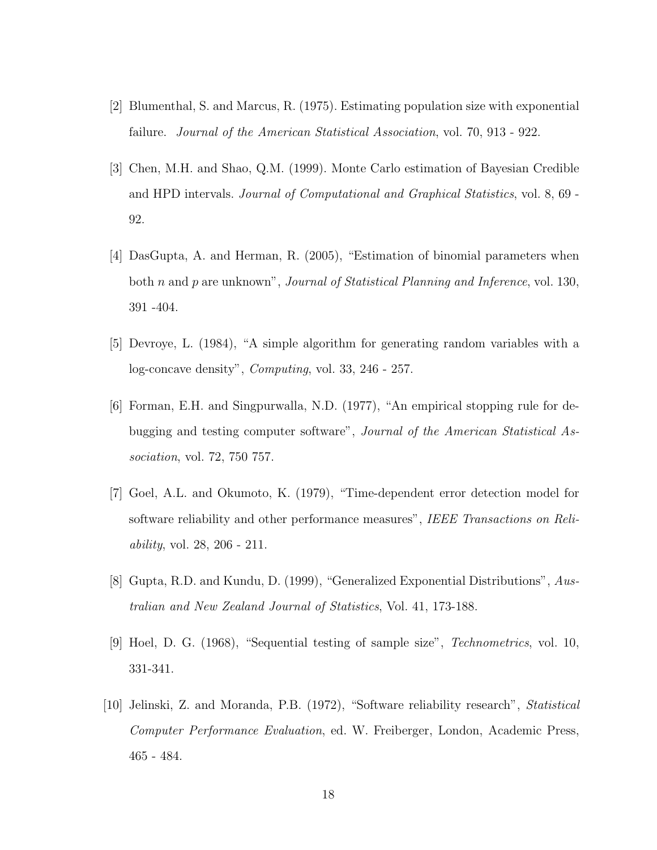- [2] Blumenthal, S. and Marcus, R. (1975). Estimating population size with exponential failure. Journal of the American Statistical Association, vol. 70, 913 - 922.
- [3] Chen, M.H. and Shao, Q.M. (1999). Monte Carlo estimation of Bayesian Credible and HPD intervals. Journal of Computational and Graphical Statistics, vol. 8, 69 - 92.
- [4] DasGupta, A. and Herman, R. (2005), "Estimation of binomial parameters when both n and p are unknown", *Journal of Statistical Planning and Inference*, vol. 130, 391 -404.
- [5] Devroye, L. (1984), "A simple algorithm for generating random variables with a log-concave density", Computing, vol. 33, 246 - 257.
- [6] Forman, E.H. and Singpurwalla, N.D. (1977), "An empirical stopping rule for debugging and testing computer software", Journal of the American Statistical Association, vol. 72, 750 757.
- [7] Goel, A.L. and Okumoto, K. (1979), "Time-dependent error detection model for software reliability and other performance measures", IEEE Transactions on Reliability, vol. 28, 206 - 211.
- [8] Gupta, R.D. and Kundu, D. (1999), "Generalized Exponential Distributions", Australian and New Zealand Journal of Statistics, Vol. 41, 173-188.
- [9] Hoel, D. G. (1968), "Sequential testing of sample size", Technometrics, vol. 10, 331-341.
- [10] Jelinski, Z. and Moranda, P.B. (1972), "Software reliability research", Statistical Computer Performance Evaluation, ed. W. Freiberger, London, Academic Press, 465 - 484.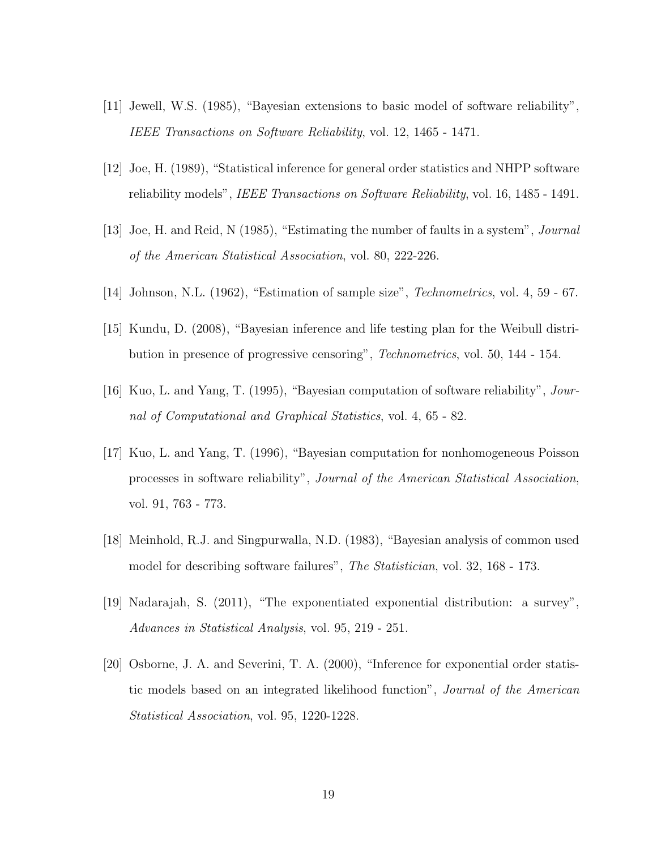- [11] Jewell, W.S. (1985), "Bayesian extensions to basic model of software reliability", IEEE Transactions on Software Reliability, vol. 12, 1465 - 1471.
- [12] Joe, H. (1989), "Statistical inference for general order statistics and NHPP software reliability models", *IEEE Transactions on Software Reliability*, vol. 16, 1485 - 1491.
- [13] Joe, H. and Reid, N (1985), "Estimating the number of faults in a system", Journal of the American Statistical Association, vol. 80, 222-226.
- [14] Johnson, N.L. (1962), "Estimation of sample size", Technometrics, vol. 4, 59 67.
- [15] Kundu, D. (2008), "Bayesian inference and life testing plan for the Weibull distribution in presence of progressive censoring", Technometrics, vol. 50, 144 - 154.
- [16] Kuo, L. and Yang, T. (1995), "Bayesian computation of software reliability", Journal of Computational and Graphical Statistics, vol. 4, 65 - 82.
- [17] Kuo, L. and Yang, T. (1996), "Bayesian computation for nonhomogeneous Poisson processes in software reliability", Journal of the American Statistical Association, vol. 91, 763 - 773.
- [18] Meinhold, R.J. and Singpurwalla, N.D. (1983), "Bayesian analysis of common used model for describing software failures", The Statistician, vol. 32, 168 - 173.
- [19] Nadarajah, S. (2011), "The exponentiated exponential distribution: a survey", Advances in Statistical Analysis, vol. 95, 219 - 251.
- [20] Osborne, J. A. and Severini, T. A. (2000), "Inference for exponential order statistic models based on an integrated likelihood function", Journal of the American Statistical Association, vol. 95, 1220-1228.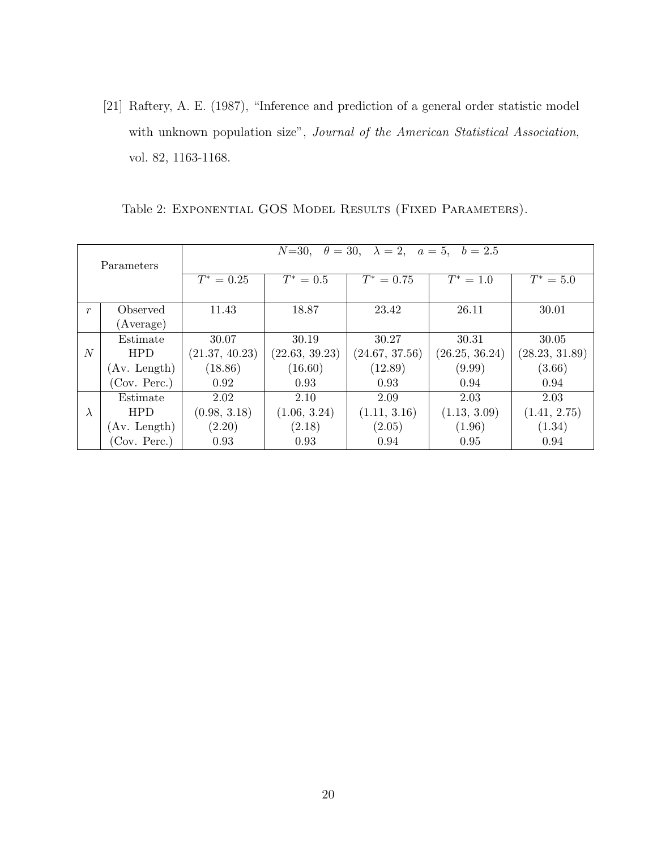[21] Raftery, A. E. (1987), "Inference and prediction of a general order statistic model with unknown population size", Journal of the American Statistical Association, vol. 82, 1163-1168.

|                  |              | $N=30, \quad \theta=30, \quad \lambda=2, \quad a=5, \quad b=2.5$ |                |                |                |                |  |  |  |  |
|------------------|--------------|------------------------------------------------------------------|----------------|----------------|----------------|----------------|--|--|--|--|
|                  |              |                                                                  |                |                |                |                |  |  |  |  |
|                  | Parameters   |                                                                  |                |                |                |                |  |  |  |  |
|                  |              | $T^* = 0.25$                                                     | $T^* = 0.5$    | $T^* = 0.75$   | $T^* = 1.0$    | $T^* = 5.0$    |  |  |  |  |
|                  |              |                                                                  |                |                |                |                |  |  |  |  |
| $\boldsymbol{r}$ | Observed     | 11.43                                                            | 18.87          | 23.42          | 26.11          | 30.01          |  |  |  |  |
|                  | (Average)    |                                                                  |                |                |                |                |  |  |  |  |
|                  | Estimate     | 30.07                                                            | 30.19          | 30.27          | 30.31          | 30.05          |  |  |  |  |
| $\overline{N}$   | <b>HPD</b>   | (21.37, 40.23)                                                   | (22.63, 39.23) | (24.67, 37.56) | (26.25, 36.24) | (28.23, 31.89) |  |  |  |  |
|                  | (Av. Length) | (18.86)                                                          | (16.60)        | (12.89)        | (9.99)         | (3.66)         |  |  |  |  |
|                  | (Cov. Perc.) | 0.92                                                             | 0.93           | 0.93           | 0.94           | 0.94           |  |  |  |  |
|                  | Estimate     | 2.02                                                             | 2.10           | 2.09           | 2.03           | 2.03           |  |  |  |  |
| $\lambda$        | <b>HPD</b>   | (0.98, 3.18)                                                     | (1.06, 3.24)   | (1.11, 3.16)   | (1.13, 3.09)   | (1.41, 2.75)   |  |  |  |  |
|                  | (Av. Length) | (2.20)                                                           | (2.18)         | (2.05)         | (1.96)         | (1.34)         |  |  |  |  |
|                  | (Cov. Perc.) | 0.93                                                             | 0.93           | 0.94           | 0.95           | 0.94           |  |  |  |  |

Table 2: EXPONENTIAL GOS MODEL RESULTS (FIXED PARAMETERS).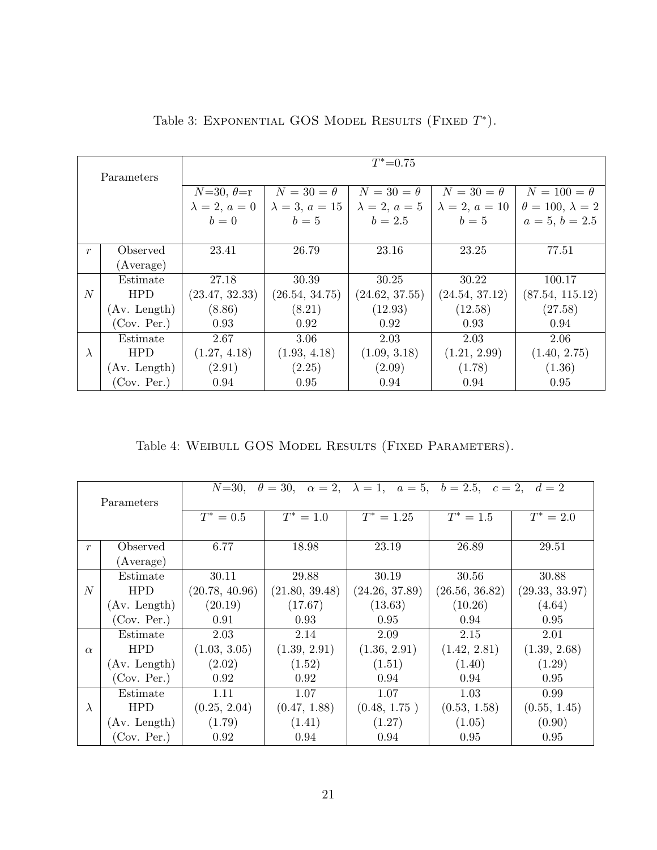|                  |              |                      |                       | $T^* = 0.75$         |                       |                             |
|------------------|--------------|----------------------|-----------------------|----------------------|-----------------------|-----------------------------|
|                  | Parameters   |                      |                       |                      |                       |                             |
|                  |              |                      |                       |                      |                       |                             |
|                  |              | $N=30, \theta=r$     | $N=30=\theta$         | $N=30=\theta$        | $N=30=\theta$         | $N=100=\theta$              |
|                  |              | $\lambda = 2, a = 0$ | $\lambda = 3, a = 15$ | $\lambda = 2, a = 5$ | $\lambda = 2, a = 10$ | $\theta = 100, \lambda = 2$ |
|                  |              | $b=0$                | $b=5$                 | $b = 2.5$            | $b=5$                 | $a=5, b=2.5$                |
|                  |              |                      |                       |                      |                       |                             |
| $\boldsymbol{r}$ | Observed     | 23.41                | 26.79                 | 23.16                | 23.25                 | 77.51                       |
|                  | (Average)    |                      |                       |                      |                       |                             |
|                  | Estimate     | 27.18                | 30.39                 | 30.25                | 30.22                 | 100.17                      |
| N                | <b>HPD</b>   | (23.47, 32.33)       | (26.54, 34.75)        | (24.62, 37.55)       | (24.54, 37.12)        | (87.54, 115.12)             |
|                  | (Av. Length) | (8.86)               | (8.21)                | (12.93)              | (12.58)               | (27.58)                     |
|                  | (Cov. Per.)  | 0.93                 | 0.92                  | 0.92                 | 0.93                  | 0.94                        |
|                  | Estimate     | 2.67                 | 3.06                  | 2.03                 | 2.03                  | 2.06                        |
| $\lambda$        | <b>HPD</b>   | (1.27, 4.18)         | (1.93, 4.18)          | (1.09, 3.18)         | (1.21, 2.99)          | (1.40, 2.75)                |
|                  | (Av. Length) | (2.91)               | (2.25)                | (2.09)               | (1.78)                | (1.36)                      |
|                  | (Cov. Per.)  | 0.94                 | 0.95                  | 0.94                 | 0.94                  | 0.95                        |

Table 3: EXPONENTIAL GOS MODEL RESULTS (FIXED  $T^*$ ).

Table 4: WEIBULL GOS MODEL RESULTS (FIXED PARAMETERS).

|                  |              | $N = 30,$      |                | $\theta = 30, \alpha = 2, \lambda = 1, \alpha = 5, \delta = 2.5, \epsilon = 2, \delta = 2$ |                |                |
|------------------|--------------|----------------|----------------|--------------------------------------------------------------------------------------------|----------------|----------------|
|                  | Parameters   |                |                |                                                                                            |                |                |
|                  |              | $T^* = 0.5$    | $T^* = 1.0$    | $T^* = 1.25$                                                                               | $T^* = 1.5$    | $T^* = 2.0$    |
|                  |              |                |                |                                                                                            |                |                |
| $\boldsymbol{r}$ | Observed     | 6.77           | 18.98          | 23.19                                                                                      | 26.89          | 29.51          |
|                  | (Average)    |                |                |                                                                                            |                |                |
|                  | Estimate     | 30.11          | 29.88          | 30.19                                                                                      | 30.56          | 30.88          |
| $\overline{N}$   | <b>HPD</b>   | (20.78, 40.96) | (21.80, 39.48) | (24.26, 37.89)                                                                             | (26.56, 36.82) | (29.33, 33.97) |
|                  | (Av. Length) | (20.19)        | (17.67)        | (13.63)                                                                                    | (10.26)        | (4.64)         |
|                  | (Cov. Per.)  | 0.91           | 0.93           | 0.95                                                                                       | 0.94           | 0.95           |
|                  | Estimate     | 2.03           | 2.14           | 2.09                                                                                       | 2.15           | 2.01           |
| $\alpha$         | <b>HPD</b>   | (1.03, 3.05)   | (1.39, 2.91)   | (1.36, 2.91)                                                                               | (1.42, 2.81)   | (1.39, 2.68)   |
|                  | (Av. Length) | (2.02)         | (1.52)         | (1.51)                                                                                     | (1.40)         | (1.29)         |
|                  | (Cov. Per.)  | 0.92           | 0.92           | 0.94                                                                                       | 0.94           | 0.95           |
|                  | Estimate     | 1.11           | 1.07           | 1.07                                                                                       | 1.03           | 0.99           |
| $\lambda$        | <b>HPD</b>   | (0.25, 2.04)   | (0.47, 1.88)   | (0.48, 1.75)                                                                               | (0.53, 1.58)   | (0.55, 1.45)   |
|                  | (Av. Length) | (1.79)         | (1.41)         | (1.27)                                                                                     | (1.05)         | (0.90)         |
|                  | (Cov. Per.)  | 0.92           | 0.94           | 0.94                                                                                       | 0.95           | 0.95           |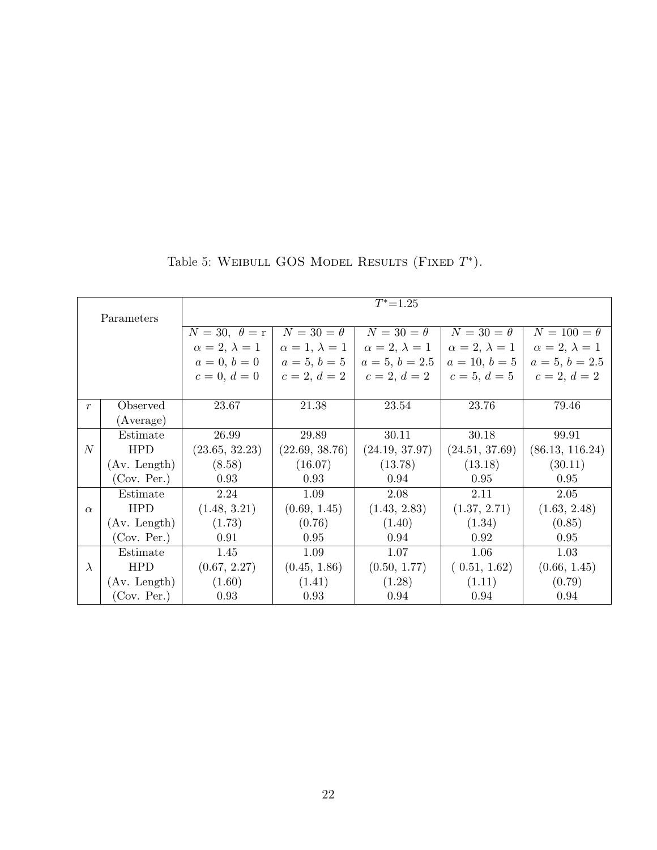|                  |              |                           |                           | $T^* = 1.25$          |                       |                           |
|------------------|--------------|---------------------------|---------------------------|-----------------------|-----------------------|---------------------------|
|                  | Parameters   |                           |                           |                       |                       |                           |
|                  |              | $N = 30, \theta = r$      | $N=30=\theta$             | $N=30=\theta$         | $N=30=\theta$         | $N = 100 = \theta$        |
|                  |              | $\alpha = 2, \lambda = 1$ | $\alpha = 1, \lambda = 1$ | $\alpha=2, \lambda=1$ | $\alpha=2, \lambda=1$ | $\alpha = 2, \lambda = 1$ |
|                  |              | $a = 0, b = 0$            | $a=5, b=5$                | $a=5, b=2.5$          | $a = 10, b = 5$       | $a = 5, b = 2.5$          |
|                  |              | $c = 0, d = 0$            | $c=2, d=2$                | $c=2, d=2$            | $c=5, d=5$            | $c=2, d=2$                |
|                  |              |                           |                           |                       |                       |                           |
| $\boldsymbol{r}$ | Observed     | 23.67                     | 21.38                     | 23.54                 | 23.76                 | 79.46                     |
|                  | (Average)    |                           |                           |                       |                       |                           |
|                  | Estimate     | 26.99                     | 29.89                     | 30.11                 | 30.18                 | 99.91                     |
| $\mathcal{N}$    | <b>HPD</b>   | (23.65, 32.23)            | (22.69, 38.76)            | (24.19, 37.97)        | (24.51, 37.69)        | (86.13, 116.24)           |
|                  | (Av. Length) | (8.58)                    | (16.07)                   | (13.78)               | (13.18)               | (30.11)                   |
|                  | (Cov. Per.)  | 0.93                      | 0.93                      | 0.94                  | 0.95                  | 0.95                      |
|                  | Estimate     | 2.24                      | 1.09                      | 2.08                  | 2.11                  | 2.05                      |
| $\alpha$         | <b>HPD</b>   | (1.48, 3.21)              | (0.69, 1.45)              | (1.43, 2.83)          | (1.37, 2.71)          | (1.63, 2.48)              |
|                  | (Av. Length) | (1.73)                    | (0.76)                    | (1.40)                | (1.34)                | (0.85)                    |
|                  | (Cov. Per.)  | 0.91                      | 0.95                      | 0.94                  | 0.92                  | 0.95                      |
|                  | Estimate     | 1.45                      | 1.09                      | 1.07                  | 1.06                  | 1.03                      |
| $\lambda$        | <b>HPD</b>   | (0.67, 2.27)              | (0.45, 1.86)              | (0.50, 1.77)          | (0.51, 1.62)          | (0.66, 1.45)              |
|                  | (Av. Length) | (1.60)                    | (1.41)                    | (1.28)                | (1.11)                | (0.79)                    |
|                  | (Cov. Per.)  | 0.93                      | 0.93                      | 0.94                  | 0.94                  | 0.94                      |

Table 5: WEIBULL GOS MODEL RESULTS (FIXED  $T^*$ ).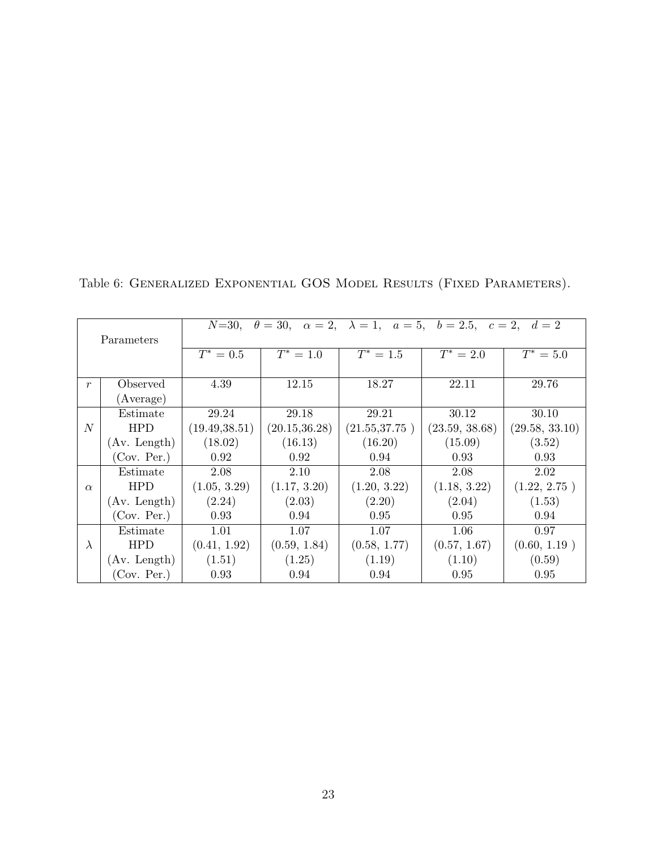|                  |              | $N = 30,$      |                | $\theta = 30, \alpha = 2, \lambda = 1, \alpha = 5, \delta = 2.5, \epsilon = 2, \delta = 2$ |                |                |
|------------------|--------------|----------------|----------------|--------------------------------------------------------------------------------------------|----------------|----------------|
|                  | Parameters   |                |                |                                                                                            |                |                |
|                  |              | $T^* = 0.5$    | $T^* = 1.0$    | $T^* = 1.5$                                                                                | $T^* = 2.0$    | $T^* = 5.0$    |
|                  |              |                |                |                                                                                            |                |                |
| $\boldsymbol{r}$ | Observed     | 4.39           | 12.15          | 18.27                                                                                      | 22.11          | 29.76          |
|                  | (Average)    |                |                |                                                                                            |                |                |
|                  | Estimate     | 29.24          | 29.18          | 29.21                                                                                      | 30.12          | 30.10          |
| $\overline{N}$   | <b>HPD</b>   | (19.49, 38.51) | (20.15, 36.28) | (21.55, 37.75)                                                                             | (23.59, 38.68) | (29.58, 33.10) |
|                  | (Av. Length) | (18.02)        | (16.13)        | (16.20)                                                                                    | (15.09)        | (3.52)         |
|                  | (Cov. Per.)  | 0.92           | 0.92           | 0.94                                                                                       | 0.93           | 0.93           |
|                  | Estimate     | 2.08           | 2.10           | 2.08                                                                                       | 2.08           | 2.02           |
| $\alpha$         | <b>HPD</b>   | (1.05, 3.29)   | (1.17, 3.20)   | (1.20, 3.22)                                                                               | (1.18, 3.22)   | (1.22, 2.75)   |
|                  | (Av. Length) | (2.24)         | (2.03)         | (2.20)                                                                                     | (2.04)         | (1.53)         |
|                  | (Cov. Per.)  | 0.93           | 0.94           | 0.95                                                                                       | 0.95           | 0.94           |
|                  | Estimate     | 1.01           | 1.07           | 1.07                                                                                       | 1.06           | 0.97           |
| $\lambda$        | <b>HPD</b>   | (0.41, 1.92)   | (0.59, 1.84)   | (0.58, 1.77)                                                                               | (0.57, 1.67)   | (0.60, 1.19)   |
|                  | (Av. Length) | (1.51)         | (1.25)         | (1.19)                                                                                     | (1.10)         | (0.59)         |
|                  | (Cov. Per.)  | 0.93           | 0.94           | 0.94                                                                                       | 0.95           | 0.95           |

Table 6: GENERALIZED EXPONENTIAL GOS MODEL RESULTS (FIXED PARAMETERS).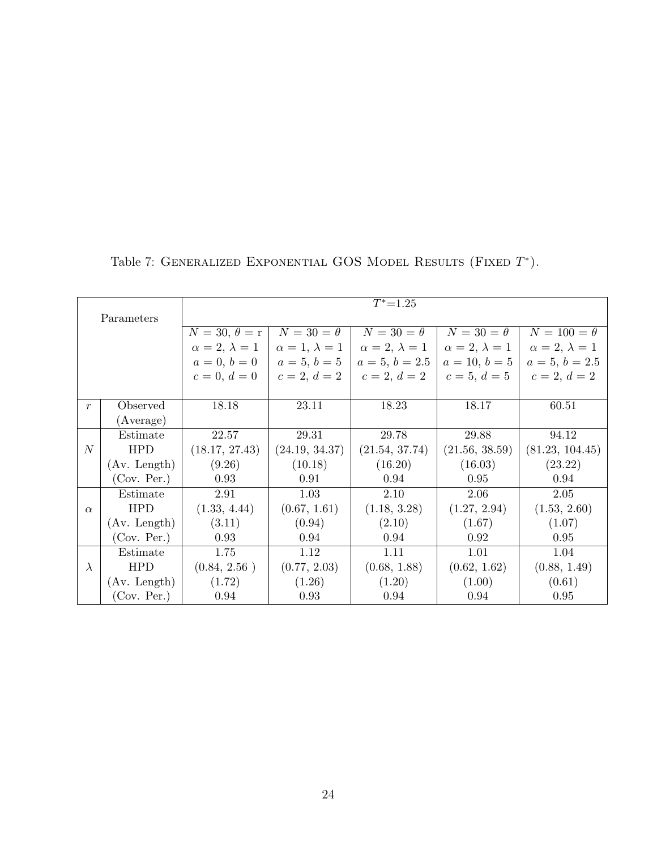|                  |              |                       |                       | $T^* = 1.25$          |                       |                       |
|------------------|--------------|-----------------------|-----------------------|-----------------------|-----------------------|-----------------------|
|                  | Parameters   |                       |                       |                       |                       |                       |
|                  |              | $N=30, \theta = r$    | $N=30=\theta$         | $N=30=\theta$         | $N=30=\theta$         | $N=100=\theta$        |
|                  |              | $\alpha=2, \lambda=1$ | $\alpha=1, \lambda=1$ | $\alpha=2, \lambda=1$ | $\alpha=2, \lambda=1$ | $\alpha=2, \lambda=1$ |
|                  |              | $a=0, b=0$            | $a=5, b=5$            | $a=5, b=2.5$          | $a = 10, b = 5$       | $a=5, b=2.5$          |
|                  |              | $c = 0, d = 0$        | $c=2, d=2$            | $c=2, d=2$            | $c=5, d=5$            | $c=2, d=2$            |
|                  |              |                       |                       |                       |                       |                       |
| r                | Observed     | 18.18                 | 23.11                 | 18.23                 | 18.17                 | 60.51                 |
|                  | (Average)    |                       |                       |                       |                       |                       |
|                  | Estimate     | 22.57                 | 29.31                 | 29.78                 | 29.88                 | 94.12                 |
| $\boldsymbol{N}$ | <b>HPD</b>   | (18.17, 27.43)        | (24.19, 34.37)        | (21.54, 37.74)        | (21.56, 38.59)        | (81.23, 104.45)       |
|                  | (Av. Length) | (9.26)                | (10.18)               | (16.20)               | (16.03)               | (23.22)               |
|                  | (Cov. Per.)  | 0.93                  | 0.91                  | 0.94                  | 0.95                  | 0.94                  |
|                  | Estimate     | 2.91                  | 1.03                  | 2.10                  | 2.06                  | 2.05                  |
| $\alpha$         | <b>HPD</b>   | (1.33, 4.44)          | (0.67, 1.61)          | (1.18, 3.28)          | (1.27, 2.94)          | (1.53, 2.60)          |
|                  | (Av. Length) | (3.11)                | (0.94)                | (2.10)                | (1.67)                | (1.07)                |
|                  | (Cov. Per.)  | 0.93                  | 0.94                  | 0.94                  | 0.92                  | 0.95                  |
|                  | Estimate     | 1.75                  | 1.12                  | 1.11                  | 1.01                  | 1.04                  |
| $\lambda$        | <b>HPD</b>   | (0.84, 2.56)          | (0.77, 2.03)          | (0.68, 1.88)          | (0.62, 1.62)          | (0.88, 1.49)          |
|                  | (Av. Length) | (1.72)                | (1.26)                | (1.20)                | (1.00)                | (0.61)                |
|                  | (Cov. Per.)  | 0.94                  | 0.93                  | 0.94                  | 0.94                  | 0.95                  |

Table 7: GENERALIZED EXPONENTIAL GOS MODEL RESULTS (FIXED  $T^*$ ).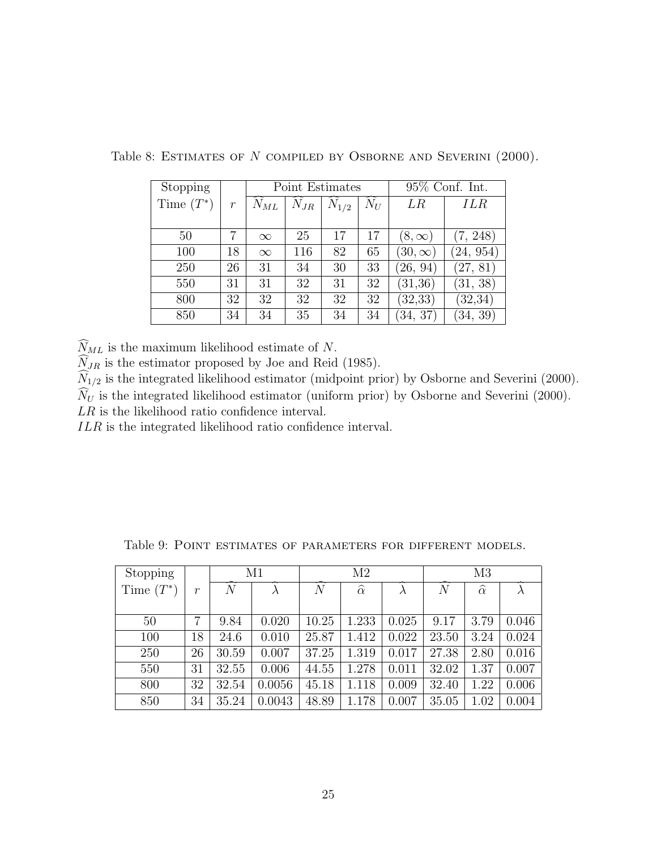| Stopping     |                  |          |          | Point Estimates |       | $95\%$ Conf. Int. |            |  |
|--------------|------------------|----------|----------|-----------------|-------|-------------------|------------|--|
| Time $(T^*)$ | $\boldsymbol{r}$ | $N_{ML}$ | $N_{JR}$ | $N_{1/2}$       | $N_U$ | $_{LR}$           | <b>ILR</b> |  |
|              |                  |          |          |                 |       |                   |            |  |
| 50           | 7                | $\infty$ | 25       | 17              | 17    | $(8,\infty)$      | (7, 248)   |  |
| 100          | 18               | $\infty$ | 116      | 82              | 65    | $(30,\infty)$     | (24, 954)  |  |
| 250          | 26               | 31       | 34       | 30              | 33    | (26, 94)          | (27, 81)   |  |
| 550          | 31               | 31       | 32       | 31              | 32    | (31,36)           | (31, 38)   |  |
| 800          | 32               | 32       | 32       | 32              | 32    | (32, 33)          | (32, 34)   |  |
| 850          | 34               | 34       | 35       | 34              | 34    | (34, 37)          | (34, 39)   |  |

Table 8: ESTIMATES OF N COMPILED BY OSBORNE AND SEVERINI (2000).

 $\widehat{N}_{ML}$  is the maximum likelihood estimate of  $N.$ 

 $N_{JR}$  is the estimator proposed by Joe and Reid (1985).

 $N_{1/2}$  is the integrated likelihood estimator (midpoint prior) by Osborne and Severini (2000).

 $\widehat{N}_U$  is the integrated likelihood estimator (uniform prior) by Osborne and Severini (2000).

LR is the likelihood ratio confidence interval.

ILR is the integrated likelihood ratio confidence interval.

| Stopping     |       |                | M1     |       | M <sub>2</sub>     |       |                | M <sub>3</sub>     |       |  |
|--------------|-------|----------------|--------|-------|--------------------|-------|----------------|--------------------|-------|--|
| Time $(T^*)$ | $\,r$ | $\overline{N}$ |        | N     | $\widehat{\alpha}$ |       | $\overline{N}$ | $\widehat{\alpha}$ |       |  |
|              |       |                |        |       |                    |       |                |                    |       |  |
| 50           | 7     | 9.84           | 0.020  | 10.25 | 1.233              | 0.025 | 9.17           | 3.79               | 0.046 |  |
| 100          | 18    | 24.6           | 0.010  | 25.87 | 1.412              | 0.022 | 23.50          | 3.24               | 0.024 |  |
| 250          | 26    | 30.59          | 0.007  | 37.25 | 1.319              | 0.017 | 27.38          | 2.80               | 0.016 |  |
| 550          | 31    | 32.55          | 0.006  | 44.55 | 1.278              | 0.011 | 32.02          | 1.37               | 0.007 |  |
| 800          | 32    | 32.54          | 0.0056 | 45.18 | 1.118              | 0.009 | 32.40          | 1.22               | 0.006 |  |
| 850          | 34    | 35.24          | 0.0043 | 48.89 | 1.178              | 0.007 | 35.05          | 1.02               | 0.004 |  |

Table 9: Point estimates of parameters for different models.